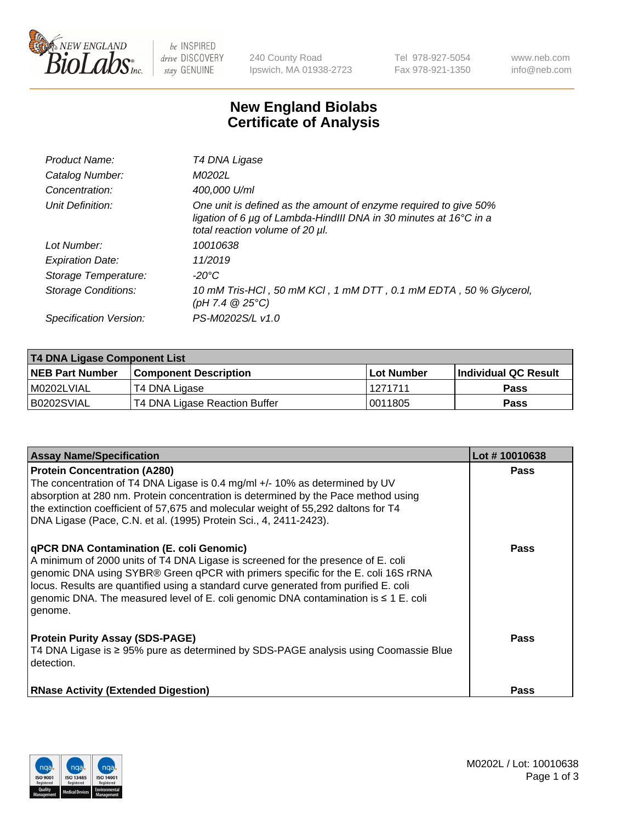

 $be$  INSPIRED drive DISCOVERY stay GENUINE

240 County Road Ipswich, MA 01938-2723 Tel 978-927-5054 Fax 978-921-1350 www.neb.com info@neb.com

## **New England Biolabs Certificate of Analysis**

| Product Name:           | T4 DNA Ligase                                                                                                                                                                           |
|-------------------------|-----------------------------------------------------------------------------------------------------------------------------------------------------------------------------------------|
| Catalog Number:         | M0202L                                                                                                                                                                                  |
| Concentration:          | 400,000 U/ml                                                                                                                                                                            |
| Unit Definition:        | One unit is defined as the amount of enzyme required to give 50%<br>ligation of 6 $\mu$ g of Lambda-HindIII DNA in 30 minutes at 16 $\degree$ C in a<br>total reaction volume of 20 µl. |
| Lot Number:             | 10010638                                                                                                                                                                                |
| <b>Expiration Date:</b> | 11/2019                                                                                                                                                                                 |
| Storage Temperature:    | $-20^{\circ}$ C                                                                                                                                                                         |
| Storage Conditions:     | 10 mM Tris-HCl, 50 mM KCl, 1 mM DTT, 0.1 mM EDTA, 50 % Glycerol,<br>(pH 7.4 $@25°C$ )                                                                                                   |
| Specification Version:  | PS-M0202S/L v1.0                                                                                                                                                                        |

| <b>T4 DNA Ligase Component List</b> |                               |            |                             |  |
|-------------------------------------|-------------------------------|------------|-----------------------------|--|
| <b>NEB Part Number</b>              | <b>Component Description</b>  | Lot Number | <b>Individual QC Result</b> |  |
| I M0202LVIAL                        | T4 DNA Ligase                 | 1271711    | Pass                        |  |
| B0202SVIAL                          | T4 DNA Ligase Reaction Buffer | 0011805    | <b>Pass</b>                 |  |

| <b>Assay Name/Specification</b>                                                                                                                                                                                                                                                                                                                                                                             | Lot #10010638 |
|-------------------------------------------------------------------------------------------------------------------------------------------------------------------------------------------------------------------------------------------------------------------------------------------------------------------------------------------------------------------------------------------------------------|---------------|
| <b>Protein Concentration (A280)</b><br>The concentration of T4 DNA Ligase is 0.4 mg/ml +/- 10% as determined by UV<br>absorption at 280 nm. Protein concentration is determined by the Pace method using<br>the extinction coefficient of 57,675 and molecular weight of 55,292 daltons for T4<br>DNA Ligase (Pace, C.N. et al. (1995) Protein Sci., 4, 2411-2423).                                         | <b>Pass</b>   |
| qPCR DNA Contamination (E. coli Genomic)<br>A minimum of 2000 units of T4 DNA Ligase is screened for the presence of E. coli<br>genomic DNA using SYBR® Green qPCR with primers specific for the E. coli 16S rRNA<br>locus. Results are quantified using a standard curve generated from purified E. coli<br>genomic DNA. The measured level of E. coli genomic DNA contamination is ≤ 1 E. coli<br>genome. | <b>Pass</b>   |
| <b>Protein Purity Assay (SDS-PAGE)</b><br>T4 DNA Ligase is ≥ 95% pure as determined by SDS-PAGE analysis using Coomassie Blue<br>detection.                                                                                                                                                                                                                                                                 | Pass          |
| <b>RNase Activity (Extended Digestion)</b>                                                                                                                                                                                                                                                                                                                                                                  | Pass          |

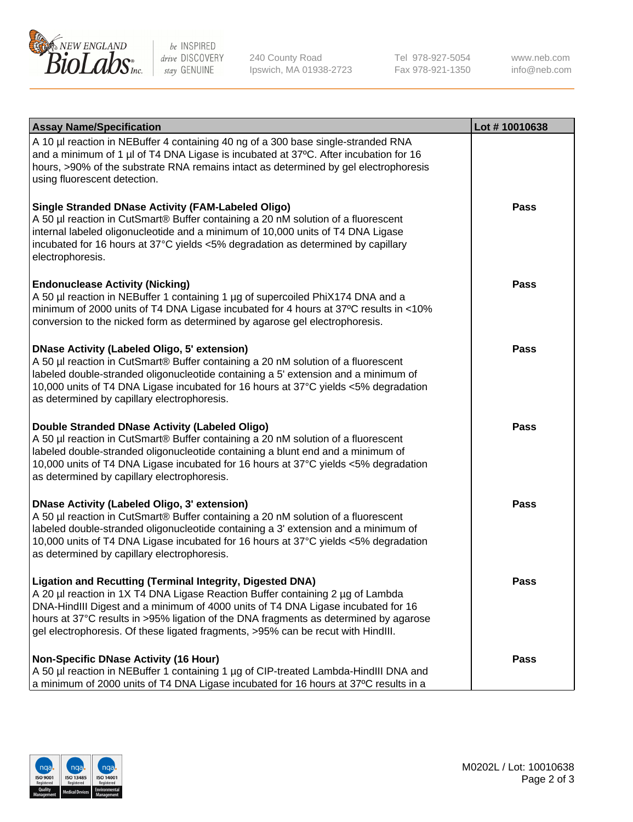

be INSPIRED drive DISCOVERY stay GENUINE

240 County Road Ipswich, MA 01938-2723 Tel 978-927-5054 Fax 978-921-1350

www.neb.com info@neb.com

| <b>Assay Name/Specification</b>                                                                                                                                                                                                                                                                                                                                                                                    | Lot #10010638 |
|--------------------------------------------------------------------------------------------------------------------------------------------------------------------------------------------------------------------------------------------------------------------------------------------------------------------------------------------------------------------------------------------------------------------|---------------|
| A 10 µl reaction in NEBuffer 4 containing 40 ng of a 300 base single-stranded RNA<br>and a minimum of 1 µl of T4 DNA Ligase is incubated at 37°C. After incubation for 16<br>hours, >90% of the substrate RNA remains intact as determined by gel electrophoresis<br>using fluorescent detection.                                                                                                                  |               |
| <b>Single Stranded DNase Activity (FAM-Labeled Oligo)</b><br>A 50 µl reaction in CutSmart® Buffer containing a 20 nM solution of a fluorescent<br>internal labeled oligonucleotide and a minimum of 10,000 units of T4 DNA Ligase<br>incubated for 16 hours at 37°C yields <5% degradation as determined by capillary<br>electrophoresis.                                                                          | <b>Pass</b>   |
| <b>Endonuclease Activity (Nicking)</b><br>A 50 µl reaction in NEBuffer 1 containing 1 µg of supercoiled PhiX174 DNA and a<br>minimum of 2000 units of T4 DNA Ligase incubated for 4 hours at 37°C results in <10%<br>conversion to the nicked form as determined by agarose gel electrophoresis.                                                                                                                   | <b>Pass</b>   |
| <b>DNase Activity (Labeled Oligo, 5' extension)</b><br>A 50 µl reaction in CutSmart® Buffer containing a 20 nM solution of a fluorescent<br>labeled double-stranded oligonucleotide containing a 5' extension and a minimum of<br>10,000 units of T4 DNA Ligase incubated for 16 hours at 37°C yields <5% degradation<br>as determined by capillary electrophoresis.                                               | <b>Pass</b>   |
| Double Stranded DNase Activity (Labeled Oligo)<br>A 50 µl reaction in CutSmart® Buffer containing a 20 nM solution of a fluorescent<br>labeled double-stranded oligonucleotide containing a blunt end and a minimum of<br>10,000 units of T4 DNA Ligase incubated for 16 hours at 37°C yields <5% degradation<br>as determined by capillary electrophoresis.                                                       | <b>Pass</b>   |
| <b>DNase Activity (Labeled Oligo, 3' extension)</b><br>A 50 µl reaction in CutSmart® Buffer containing a 20 nM solution of a fluorescent<br>labeled double-stranded oligonucleotide containing a 3' extension and a minimum of<br>10,000 units of T4 DNA Ligase incubated for 16 hours at 37°C yields <5% degradation<br>as determined by capillary electrophoresis.                                               | <b>Pass</b>   |
| <b>Ligation and Recutting (Terminal Integrity, Digested DNA)</b><br>A 20 µl reaction in 1X T4 DNA Ligase Reaction Buffer containing 2 µg of Lambda<br>DNA-HindIII Digest and a minimum of 4000 units of T4 DNA Ligase incubated for 16<br>hours at 37°C results in >95% ligation of the DNA fragments as determined by agarose<br>gel electrophoresis. Of these ligated fragments, >95% can be recut with HindIII. | <b>Pass</b>   |
| <b>Non-Specific DNase Activity (16 Hour)</b><br>A 50 µl reaction in NEBuffer 1 containing 1 µg of CIP-treated Lambda-HindIII DNA and<br>a minimum of 2000 units of T4 DNA Ligase incubated for 16 hours at 37°C results in a                                                                                                                                                                                       | <b>Pass</b>   |